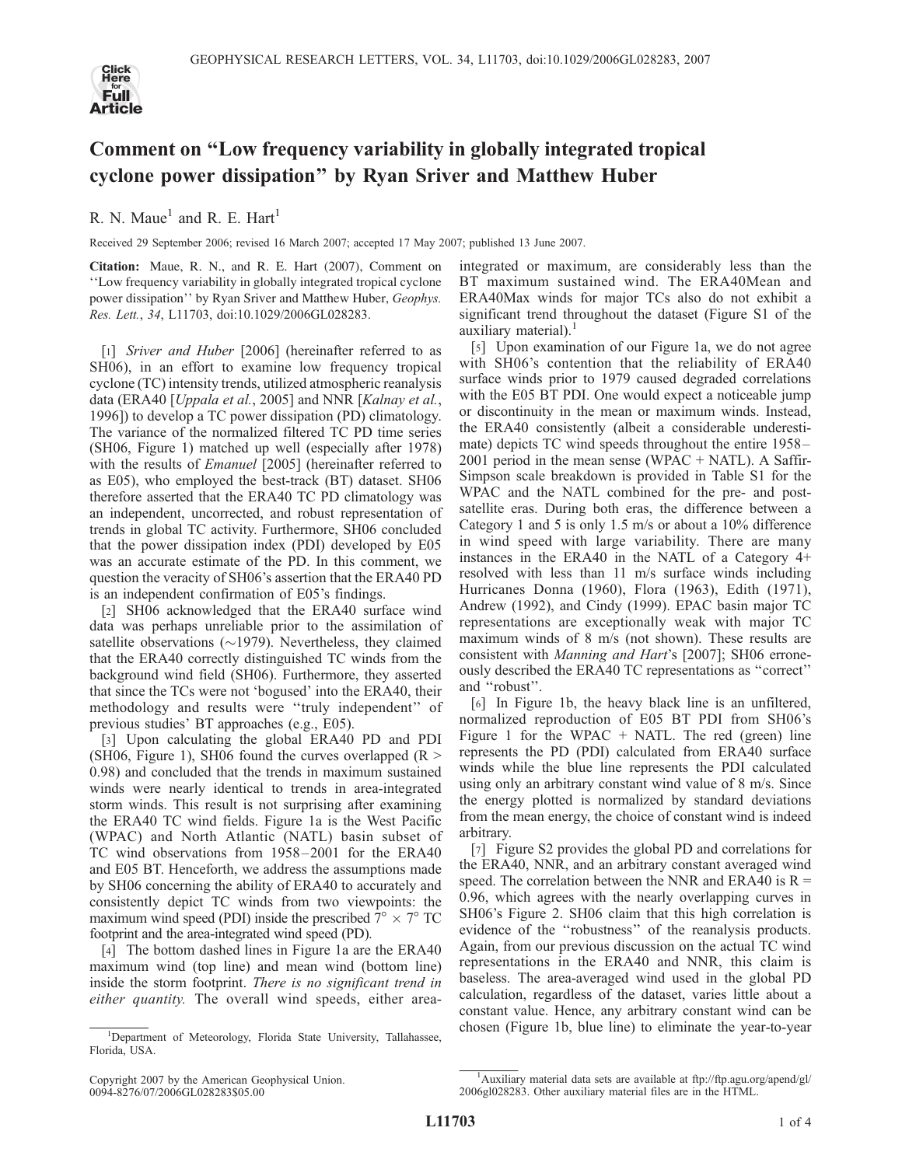

## Comment on ''Low frequency variability in globally integrated tropical cyclone power dissipation'' by Ryan Sriver and Matthew Huber

R. N. Maue<sup>1</sup> and R. E. Hart<sup>1</sup>

Received 29 September 2006; revised 16 March 2007; accepted 17 May 2007; published 13 June 2007.

Citation: Maue, R. N., and R. E. Hart (2007), Comment on ''Low frequency variability in globally integrated tropical cyclone power dissipation'' by Ryan Sriver and Matthew Huber, Geophys. Res. Lett., 34, L11703, doi:10.1029/2006GL028283.

[1] Sriver and Huber [2006] (hereinafter referred to as SH06), in an effort to examine low frequency tropical cyclone (TC) intensity trends, utilized atmospheric reanalysis data (ERA40 [*Uppala et al., 2005*] and NNR [*Kalnay et al.,* 1996]) to develop a TC power dissipation (PD) climatology. The variance of the normalized filtered TC PD time series (SH06, Figure 1) matched up well (especially after 1978) with the results of *Emanuel* [2005] (hereinafter referred to as E05), who employed the best-track (BT) dataset. SH06 therefore asserted that the ERA40 TC PD climatology was an independent, uncorrected, and robust representation of trends in global TC activity. Furthermore, SH06 concluded that the power dissipation index (PDI) developed by E05 was an accurate estimate of the PD. In this comment, we question the veracity of SH06's assertion that the ERA40 PD is an independent confirmation of E05's findings.

[2] SH06 acknowledged that the ERA40 surface wind data was perhaps unreliable prior to the assimilation of satellite observations ( $\sim$ 1979). Nevertheless, they claimed that the ERA40 correctly distinguished TC winds from the background wind field (SH06). Furthermore, they asserted that since the TCs were not 'bogused' into the ERA40, their methodology and results were ''truly independent'' of previous studies' BT approaches (e.g., E05).

[3] Upon calculating the global ERA40 PD and PDI (SH06, Figure 1), SH06 found the curves overlapped  $(R >$ 0.98) and concluded that the trends in maximum sustained winds were nearly identical to trends in area-integrated storm winds. This result is not surprising after examining the ERA40 TC wind fields. Figure 1a is the West Pacific (WPAC) and North Atlantic (NATL) basin subset of TC wind observations from 1958 –2001 for the ERA40 and E05 BT. Henceforth, we address the assumptions made by SH06 concerning the ability of ERA40 to accurately and consistently depict TC winds from two viewpoints: the maximum wind speed (PDI) inside the prescribed  $7^{\circ} \times 7^{\circ}$  TC footprint and the area-integrated wind speed (PD).

[4] The bottom dashed lines in Figure 1a are the ERA40 maximum wind (top line) and mean wind (bottom line) inside the storm footprint. There is no significant trend in either quantity. The overall wind speeds, either areaintegrated or maximum, are considerably less than the BT maximum sustained wind. The ERA40Mean and ERA40Max winds for major TCs also do not exhibit a significant trend throughout the dataset (Figure S1 of the auxiliary material). $<sup>1</sup>$ </sup>

[5] Upon examination of our Figure 1a, we do not agree with SH06's contention that the reliability of ERA40 surface winds prior to 1979 caused degraded correlations with the E05 BT PDI. One would expect a noticeable jump or discontinuity in the mean or maximum winds. Instead, the ERA40 consistently (albeit a considerable underestimate) depicts TC wind speeds throughout the entire 1958– 2001 period in the mean sense (WPAC + NATL). A Saffir-Simpson scale breakdown is provided in Table S1 for the WPAC and the NATL combined for the pre- and postsatellite eras. During both eras, the difference between a Category 1 and 5 is only 1.5 m/s or about a 10% difference in wind speed with large variability. There are many instances in the ERA40 in the NATL of a Category 4+ resolved with less than 11 m/s surface winds including Hurricanes Donna (1960), Flora (1963), Edith (1971), Andrew (1992), and Cindy (1999). EPAC basin major TC representations are exceptionally weak with major TC maximum winds of 8 m/s (not shown). These results are consistent with Manning and Hart's [2007]; SH06 erroneously described the ERA40 TC representations as ''correct'' and ''robust''.

[6] In Figure 1b, the heavy black line is an unfiltered, normalized reproduction of E05 BT PDI from SH06's Figure 1 for the WPAC  $+$  NATL. The red (green) line represents the PD (PDI) calculated from ERA40 surface winds while the blue line represents the PDI calculated using only an arbitrary constant wind value of 8 m/s. Since the energy plotted is normalized by standard deviations from the mean energy, the choice of constant wind is indeed arbitrary.

[7] Figure S2 provides the global PD and correlations for the ERA40, NNR, and an arbitrary constant averaged wind speed. The correlation between the NNR and ERA40 is  $R =$ 0.96, which agrees with the nearly overlapping curves in SH06's Figure 2. SH06 claim that this high correlation is evidence of the ''robustness'' of the reanalysis products. Again, from our previous discussion on the actual TC wind representations in the ERA40 and NNR, this claim is baseless. The area-averaged wind used in the global PD calculation, regardless of the dataset, varies little about a constant value. Hence, any arbitrary constant wind can be chosen (Figure 1b, blue line) to eliminate the year-to-year

<sup>&</sup>lt;sup>1</sup>Department of Meteorology, Florida State University, Tallahassee, Florida, USA.

Copyright 2007 by the American Geophysical Union. 0094-8276/07/2006GL028283\$05.00

<sup>&</sup>lt;sup>1</sup>Auxiliary material data sets are available at ftp://ftp.agu.org/apend/gl/ 2006gl028283. Other auxiliary material files are in the HTML.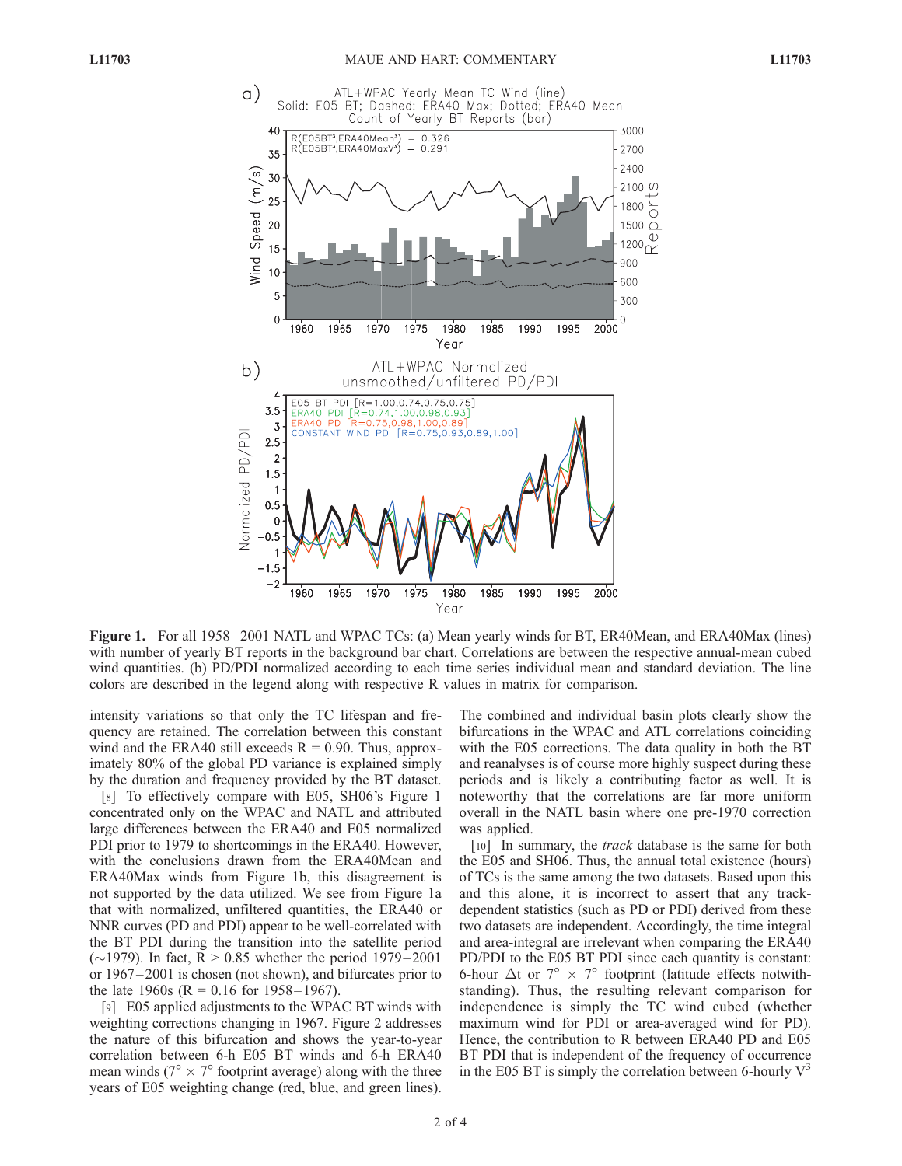

Figure 1. For all 1958–2001 NATL and WPAC TCs: (a) Mean yearly winds for BT, ER40Mean, and ERA40Max (lines) with number of yearly BT reports in the background bar chart. Correlations are between the respective annual-mean cubed wind quantities. (b) PD/PDI normalized according to each time series individual mean and standard deviation. The line colors are described in the legend along with respective R values in matrix for comparison.

intensity variations so that only the TC lifespan and frequency are retained. The correlation between this constant wind and the ERA40 still exceeds  $R = 0.90$ . Thus, approximately 80% of the global PD variance is explained simply by the duration and frequency provided by the BT dataset.

[8] To effectively compare with E05, SH06's Figure 1 concentrated only on the WPAC and NATL and attributed large differences between the ERA40 and E05 normalized PDI prior to 1979 to shortcomings in the ERA40. However, with the conclusions drawn from the ERA40Mean and ERA40Max winds from Figure 1b, this disagreement is not supported by the data utilized. We see from Figure 1a that with normalized, unfiltered quantities, the ERA40 or NNR curves (PD and PDI) appear to be well-correlated with the BT PDI during the transition into the satellite period ( $\sim$ 1979). In fact, R > 0.85 whether the period 1979–2001 or 1967 – 2001 is chosen (not shown), and bifurcates prior to the late 1960s ( $R = 0.16$  for 1958–1967).

[9] E05 applied adjustments to the WPAC BT winds with weighting corrections changing in 1967. Figure 2 addresses the nature of this bifurcation and shows the year-to-year correlation between 6-h E05 BT winds and 6-h ERA40 mean winds ( $7^\circ \times 7^\circ$  footprint average) along with the three years of E05 weighting change (red, blue, and green lines). The combined and individual basin plots clearly show the bifurcations in the WPAC and ATL correlations coinciding with the E05 corrections. The data quality in both the BT and reanalyses is of course more highly suspect during these periods and is likely a contributing factor as well. It is noteworthy that the correlations are far more uniform overall in the NATL basin where one pre-1970 correction was applied.

[10] In summary, the *track* database is the same for both the E05 and SH06. Thus, the annual total existence (hours) of TCs is the same among the two datasets. Based upon this and this alone, it is incorrect to assert that any trackdependent statistics (such as PD or PDI) derived from these two datasets are independent. Accordingly, the time integral and area-integral are irrelevant when comparing the ERA40 PD/PDI to the E05 BT PDI since each quantity is constant: 6-hour  $\Delta t$  or  $7^{\circ} \times 7^{\circ}$  footprint (latitude effects notwithstanding). Thus, the resulting relevant comparison for independence is simply the TC wind cubed (whether maximum wind for PDI or area-averaged wind for PD). Hence, the contribution to R between ERA40 PD and E05 BT PDI that is independent of the frequency of occurrence in the E05 BT is simply the correlation between 6-hourly  $V^3$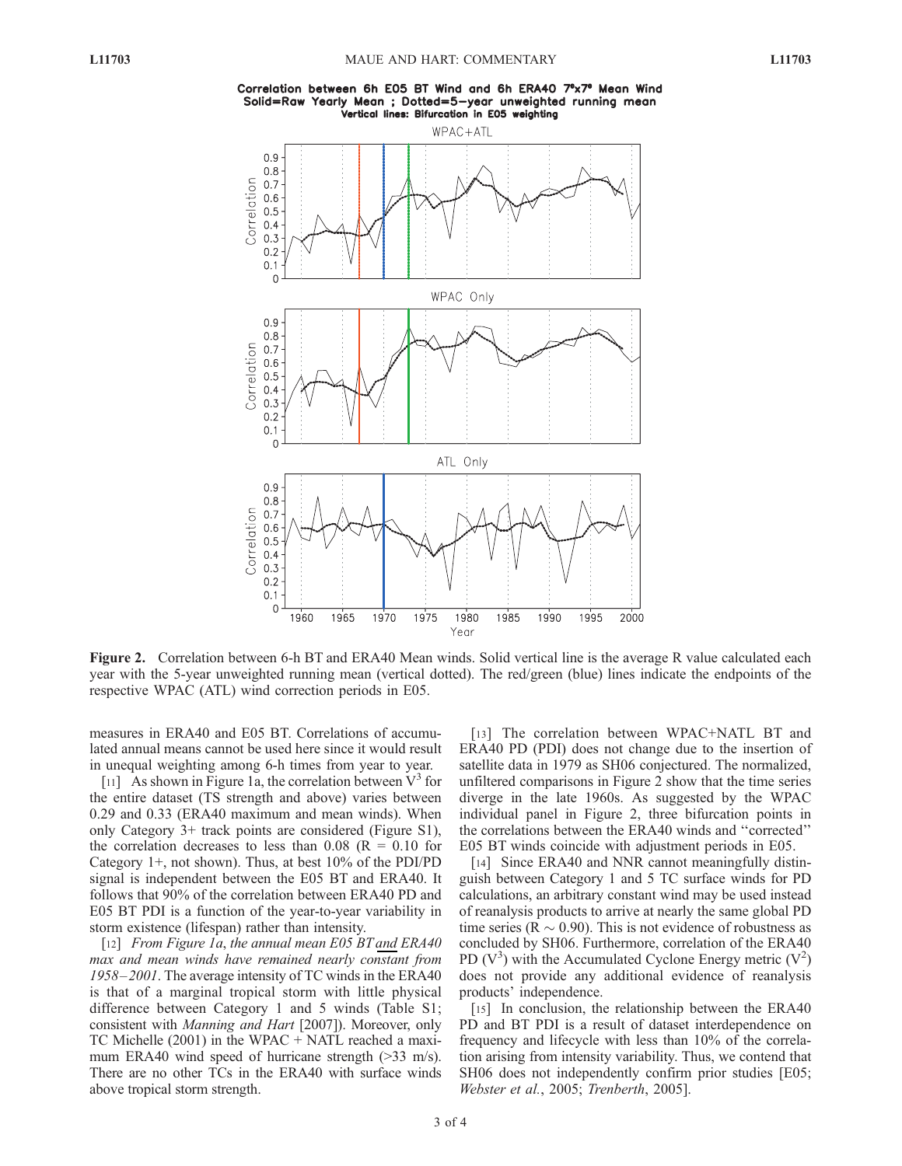



Figure 2. Correlation between 6-h BT and ERA40 Mean winds. Solid vertical line is the average R value calculated each year with the 5-year unweighted running mean (vertical dotted). The red/green (blue) lines indicate the endpoints of the respective WPAC (ATL) wind correction periods in E05.

measures in ERA40 and E05 BT. Correlations of accumulated annual means cannot be used here since it would result in unequal weighting among 6-h times from year to year.

[11] As shown in Figure 1a, the correlation between  $V^3$  for the entire dataset (TS strength and above) varies between 0.29 and 0.33 (ERA40 maximum and mean winds). When only Category 3+ track points are considered (Figure S1), the correlation decreases to less than  $0.08$  (R = 0.10 for Category 1+, not shown). Thus, at best 10% of the PDI/PD signal is independent between the E05 BT and ERA40. It follows that 90% of the correlation between ERA40 PD and E05 BT PDI is a function of the year-to-year variability in storm existence (lifespan) rather than intensity.

[12] From Figure 1a, the annual mean E05 BT and ERA40 max and mean winds have remained nearly constant from 1958–2001. The average intensity of TC winds in the ERA40 is that of a marginal tropical storm with little physical difference between Category 1 and 5 winds (Table S1; consistent with Manning and Hart [2007]). Moreover, only TC Michelle (2001) in the WPAC + NATL reached a maximum ERA40 wind speed of hurricane strength  $(>=33$  m/s). There are no other TCs in the ERA40 with surface winds above tropical storm strength.

[13] The correlation between WPAC+NATL BT and ERA40 PD (PDI) does not change due to the insertion of satellite data in 1979 as SH06 conjectured. The normalized, unfiltered comparisons in Figure 2 show that the time series diverge in the late 1960s. As suggested by the WPAC individual panel in Figure 2, three bifurcation points in the correlations between the ERA40 winds and ''corrected'' E05 BT winds coincide with adjustment periods in E05.

[14] Since ERA40 and NNR cannot meaningfully distinguish between Category 1 and 5 TC surface winds for PD calculations, an arbitrary constant wind may be used instead of reanalysis products to arrive at nearly the same global PD time series ( $R \sim 0.90$ ). This is not evidence of robustness as concluded by SH06. Furthermore, correlation of the ERA40 PD  $(V^3)$  with the Accumulated Cyclone Energy metric  $(V^2)$ does not provide any additional evidence of reanalysis products' independence.

[15] In conclusion, the relationship between the ERA40 PD and BT PDI is a result of dataset interdependence on frequency and lifecycle with less than 10% of the correlation arising from intensity variability. Thus, we contend that SH06 does not independently confirm prior studies [E05; Webster et al., 2005; Trenberth, 2005].